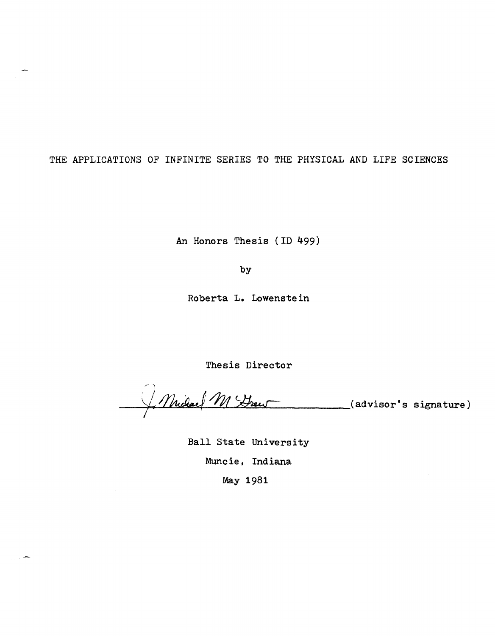THE APPLICATIONS OF INFINITE SERIES TO THE PHYSICAL AND LIFE SCIENCES

An Honors Thesis (ID 499)

by

Roberta L. Lowenstein

Thesis Director

Muchael M Frew (advisor's signature)

Ball State University Muncie, Indiana May 1981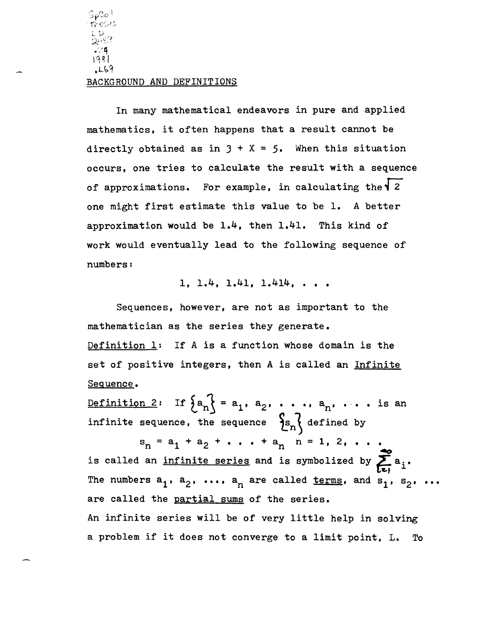# BACKGROUND AND DEFINITIONS

In many mathematical endeavors in pure and applied mathematics, it often happens that a result cannot be directly obtained as in  $3 + X = 5$ . When this situation occurs, one tries to calculate the result with a sequence of approximations. For example, in calculating the  $\sqrt{2}$ one might first estimate this value to be 1. A better approximation would be  $1.4$ , then  $1.41$ . This kind of work would eventually lead to the following sequence of numbers:

# 1, 1.4, 1.41, 1.414, ...

Sequences, however, are not as important to the mathematician as the series they generate. Definition 1: If A is a function whose domain is the set of positive integers, then A is called an Infinite Sequence.

<u>Definition 2</u>: If  $\{a_n\} = a_1, a_2, \ldots, a_n, \ldots$  is an infinite sequence, the sequence  $\{s_n\}$  defined by

 $s_n = a_1 + a_2 + \ldots + a_n$   $n = 1, 2, \ldots$  $\trianglelefteq$ is called an infinite series and is symbolized by  $\sum_{i=1}^{\infty} a_i$ . The numbers  $a_1$ ,  $a_2$ , ...,  $a_n$  are called <u>terms</u>, and  $s_1$ ,  $s_2$ , ... are called the partial sums of the series. An infinite series will be of very little help in solving a problem if it does not converge to a limit point, L. To

 $\mathsf{Sp} \mathbb{C} \phi^{\dagger}$ --r~' *er :,.. r: ..* Lv ~.\_~(~:i  $.74$ 1981\_

.U:>'1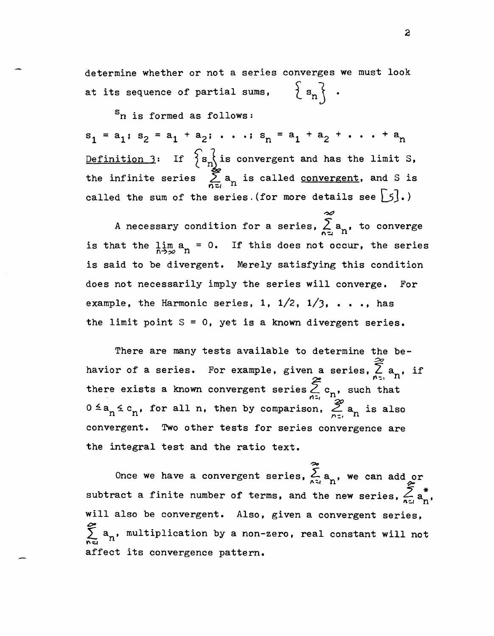determine whether or not a series converges we must look  $\{s_n\}$ . at its sequence of partial sums,

 ${}^{\mathbf{S}}$ n is formed as follows:  $s_1 = a_1$ ;  $s_2 = a_1 + a_2$ ; ...;  $s_n = a_1 + a_2 + \ldots + a_n$ Definition 3: If  $\{s_{n}\}$  is convergent and has the limit S, the infinite series  $\sum_{n=1}^{\infty} a_n$  is called <u>convergent</u>, and S is called the sum of the series. (for more details see  $\big[\begin{matrix} 5 \end{matrix}\big]$ .)

 $\sim$ A necessary condition for a series,  $\sum_{n\leq l}a^{}_{n}$ , to converge is that the  $\lim_{n\to\infty} a_n = 0$ . If this does not occur, the series is said to be divergent. Merely satisfying this condition does not necessarily imply the series will converge. For example, the Harmonic series, 1,  $1/2$ ,  $1/3$ , ..., has the limit point  $S = 0$ , yet is a known divergent series.

There are many tests available to determine the behavior of a series. For example, given a series,  $\sum_{n=1}^{\infty} a_n$ , if there exists a known convergent series  $\sum_{n \in \mathbb{Z}} c_n$ , such that  $0 \le a_n \le c_n$ , for all n, then by comparison,  $\sum_{n=1}^{\infty} a_n$  is also convergent. Two other tests for series convergence are the integral test and the ratio text.

~ Once we have a convergent series,  $\sum_{n \geq 1} a_{n}$ , we can add or subtract a finite number of terms, and the new series,  $\sum_{n=1}^{\infty} \frac{a_n}{a_n}$ , will also be convergent. Also, given a convergent series,  $\tilde{\mathcal{C}}$  $\sum_{n\leq l} a_{n}$ , multiplication by a non-zero, real constant will not affect its convergence pattern.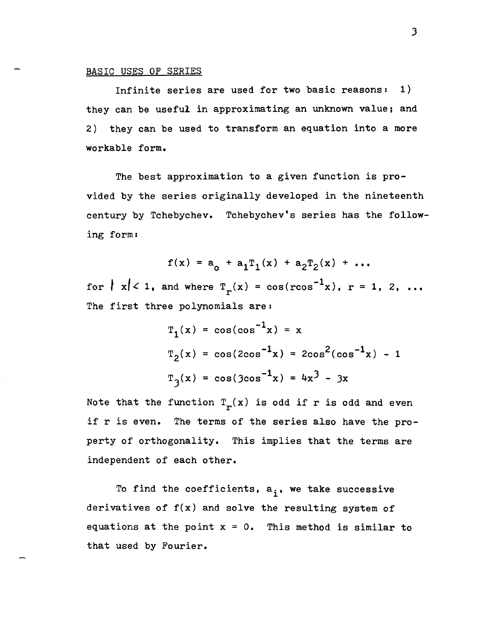#### BASIC USES OF SERIES

Infinite series are used for two basic reasons: 1) they can be useful in approximating an unknown value; and 2) they can be used to transform an equation into a more workable form.

The best approximation to a given function is provided by the series originally developed in the nineteenth century by Tchebychev. Tchebychev's series has the following form:

$$
f(x) = a_0 + a_1T_1(x) + a_2T_2(x) + ...
$$

for  $|x| < 1$ , and where  $T_r(x) = cos(r cos^{-1}x)$ , r = 1, 2, ... The first three polynomials are:

$$
T_1(x) = \cos(\cos^{-1}x) = x
$$
  
\n $T_2(x) = \cos(2\cos^{-1}x) = 2\cos^2(\cos^{-1}x) - 1$   
\n $T_3(x) = \cos(3\cos^{-1}x) = 4x^3 - 3x$ 

Note that the function  $T_r(x)$  is odd if r is odd and even if r is even. The terms of the series also have the property of orthogonality. This implies that the terms are independent of each other.

To find the coefficients,  $a_i$ , we take successive derivatives of  $f(x)$  and solve the resulting system of equations at the point x = O. This method *is* similar to that used by Fourier.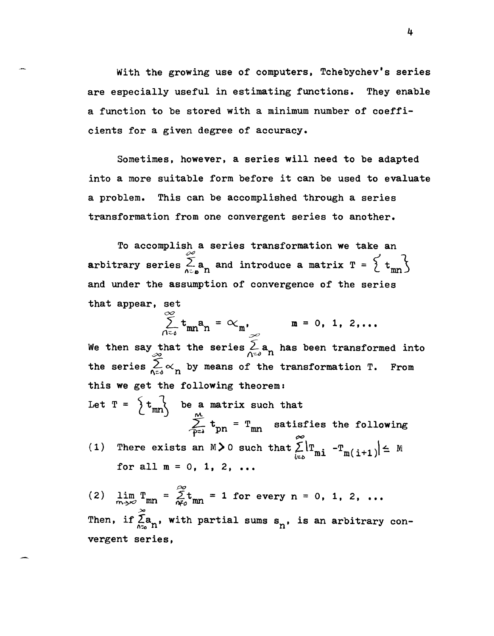With the growing use of computers, Tchebychev's series are especially useful in estimating functions. They enable a function to be stored with a minimum number of coefficients for a given degree of accuracy.

Sometimes. however. a series will need to be adapted into a more suitable form before it can be used to evaluate a problem. This can be accomplished through a series transformation from one convergent series to another.

To accomplish a series transformation we take an arbitrary series  $\sum_{n=a}^{\infty} a_n$  and introduce a matrix  $T = \begin{Bmatrix} 1 & 1 \end{Bmatrix}$ and under the assumption of convergence of the series that appear. set

 $=\alpha_{m}$ ,  $m = 0, 1, 2, ...$ *=<J*  We then say that the series  $\sum_{\Lambda\in\partial} a_n$  has been transformed into the series  $\sum_{n=0}^{\infty} \alpha_n$  by means of the transformation T. From this we get the following theorem: Let  $T = \begin{cases} t_{mn} \\ \end{cases}$  be a matrix such that  $\sum_{p=1}^{M} t_{pn} = T_{mn}$  satisfies the following (1) There exists an  $M > 0$  such that  $\sum_{k=0}^{\infty}$  |  $T_{mi}$  -  $T_{m(i+1)}$  |  $\leq M$ for all  $m = 0, 1, 2, ...$ 

(2)  $\lim_{m \to \infty} T_{mn} = \sum_{n=1}^{\infty} t_{mn} = 1$  for every n = 0, 1, 2, ...  $\overline{m}$ <sub>-</sub> $\overline{m}$  mn  $\overline{m}$ <sub>o</sub> $\overline{m}$ n  $\approx$ Then, if  $\widetilde{\Sigma}_{\mathfrak{a}_{n}}$ , with partial sums  $\mathbf{s}_{n}$ , is an arbitrary convergent series,

4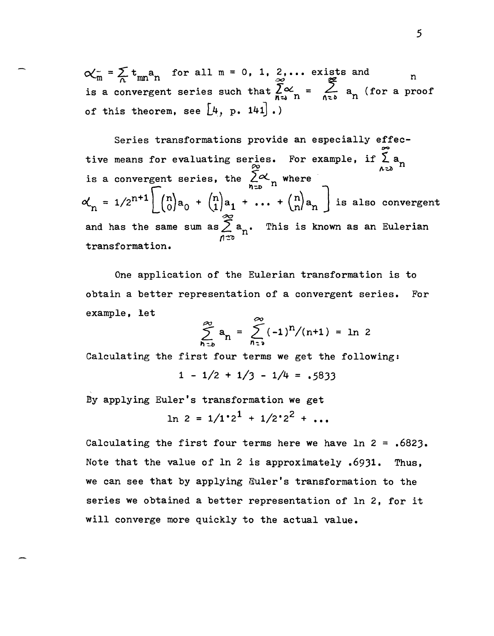$\alpha_m^- = \sum_n t_{mn} a_n$  for all  $m = 0, 1, 2, ...$  exists and *n* is a convergent series such that  $\sum_{n=0}^{\infty} \alpha_n = \sum_{n=0}^{\infty} a_n$  (for a proof of this theorem, see  $\big\lfloor \mu \big\rfloor$ , p. 141].)

Series transformations provide an especially effective means for evaluating series. For example, if  $\sum_{n=2}^{\infty} a_n$ <br>is a convergent series, the  $\sum_{n=1}^{\infty} a_n$  where  $\alpha_{n} = 1/2^{n+1} \left( \begin{array}{c} n \\ 0 \end{array} \right) a_0 + \binom{n}{1} a_1 + \ldots + \binom{n}{n} a_n$  is also convergent and has the same sum as  $\sum^{\infty}$  a<sub>n</sub>. This is known as an Eulerian  $\cdots$ transformation.

One application of the Eulerian transformation is to obtain a better representation of a convergent series. For example, let

$$
\sum_{n=0}^{\infty} a_n = \sum_{n=0}^{\infty} (-1)^n / (n+1) = \ln 2
$$

Calculating the first four terms we get the following:

 $1 - \frac{1}{2} + \frac{1}{3} - \frac{1}{4} = .5833$ 

By applying Euler's transformation we get

$$
\ln 2 = 1/1 \cdot 2^1 + 1/2 \cdot 2^2 + \dots
$$

Calculating the first four terms here we have  $\ln 2 = .6823$ . Note that the value of In 2 is approximately .69)1. Thus, we can see that by applying Euler's transformation to the series we obtained a better representation of In 2, for it will converge more quickly to the actual value.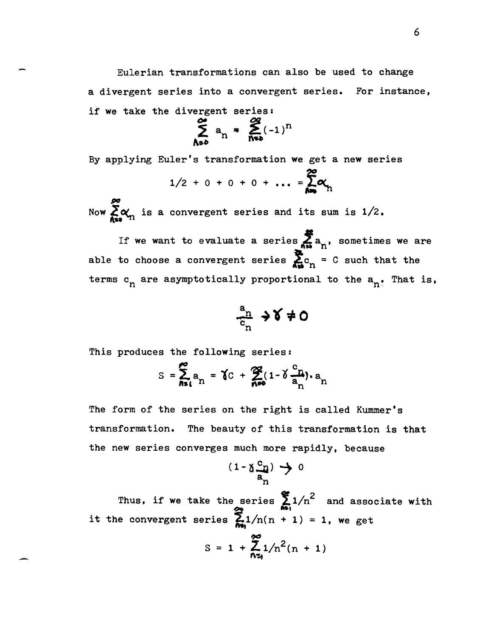Eulerian transformations can also be used to change a divergent series into a convergent series. For instance, if we take the divergent series:<br> $\sim$   $\approx$ 

$$
\sum_{\Lambda \circ \delta}^{\infty} a_n \ast \sum_{\Lambda \circ \delta}^{\infty} (-1)^n
$$

By applying Euler's transformation we get a new series

$$
1/2 + 0 + 0 + 0 + \dots = \sum_{n=1}^{\infty} \alpha_n
$$

Now  $\sum_{n=1}^{\infty} \alpha_n$  is a convergent series and its sum is  $1/2$ .

If we want to evaluate a series  $\sum_{n=1}^{\infty} a_n$ , sometimes we are able to choose a convergent series  $\sum_{n=0}^{\infty} c_n = C$  such that the terms  $c_n$  are asymptotically proportional to the  $a_n$ . That is,

$$
\frac{a_n}{c_n} \to \delta \neq 0
$$

This produces the following series:

-

$$
S = \sum_{n=1}^{\infty} a_n = \gamma C + \sum_{n=0}^{\infty} (1 - \delta \frac{c_n}{a_n}) \cdot a_n
$$

The form of the series on the right is called Kummer's transformation. The beauty of this transformation is that the new series converges much more rapidly, because

$$
(\mathbf{1} \cdot \mathbf{a}_{\mathbf{a}_n}^{\mathbf{c}_n}) \rightarrow 0
$$

Thus, if we take the series  $\sum_{n=1}^{\infty} 1/n^2$  and associate with it the convergent series  $\sum_{n=1}^{\infty} 1/n(n + 1) = 1$ , we get

$$
S = 1 + \sum_{n=1}^{\infty} 1/n^2(n + 1)
$$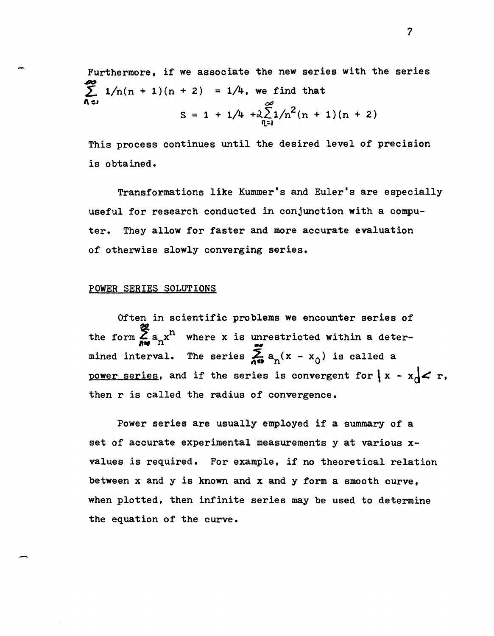Furthermore, if we associate the new series with the series  $\sum_{n=1}^{\infty} 1/n(n + 1)(n + 2) = 1/4$ , we find that *00*   $S = 1 + 1/4 + \lambda \sum_{n=1}^{\infty} 1/n^2(n + 1)(n + 2)$ 

This process continues until the desired level of precision is obtained.

Transformations like Kummer's and Euler's are especially useful for research conducted in conjunction with a computer. They allow for faster and more accurate evaluation of otherwise slowly converging series.

# POWER SERIES SOLUTIONS

Often in scientific problems we encounter series of the form  $\sum_{n=1}^{\infty} a_n x^n$  where x is unrestricted within a determined interval. The series  $\sum_{n=1}^{\infty} a_n(x - x_0)$  is called a power series, and if the series is convergent for  $\vert x - x_0 \vert < r$ . then r is called the radius of convergence.

Power series are usually employed if a summary of a set of accurate experimental measurements y at various xvalues is required. For example. if no theoretical relation between x and y is known and x and y form a smooth curve, when plotted. then infinite series may be used to determine the equation of the curve.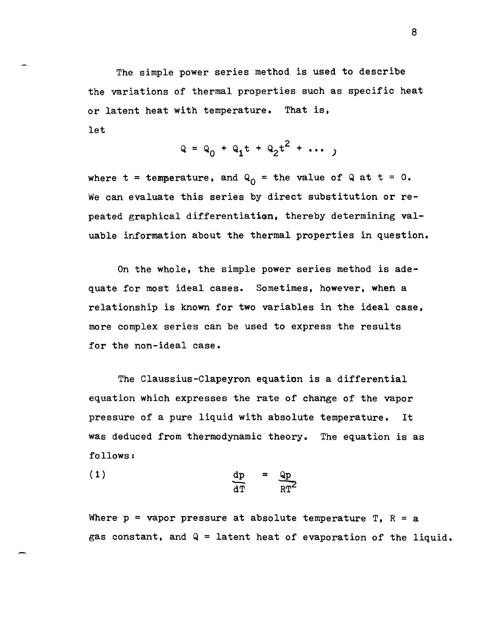The simple power series method is used to describe the variations of thermal properties such as specific heat or latent heat with temperature. That is, let

$$
Q = Q_0 + Q_1 t + Q_2 t^2 + \cdots
$$

where  $t =$  temperature, and  $Q_0 =$  the value of Q at  $t = 0$ . We can evaluate this series by direct substitution or repeated graphical differentiation, thereby determining valuable information about the thermal properties in question.

On the whole, the simple power series method is adequate for most ideal cases. Sometimes, however, when a relationship is known for two variables in the ideal case, more complex series can be used to express the results for the non-ideal case.

The Claussius-Clapeyron equation is a differential equation which expresses the rate of change of the vapor pressure of a pure liquid with absolute temperature. It was deduced from thermodynamic theory. The equation is as follows:

$$
\frac{dp}{dT} = \frac{qp}{RT^2}
$$

Where  $p = vapor pressure at absolute temperature T$ ,  $R = a$ gas constant, and  $Q =$  latent heat of evaporation of the liquid.

8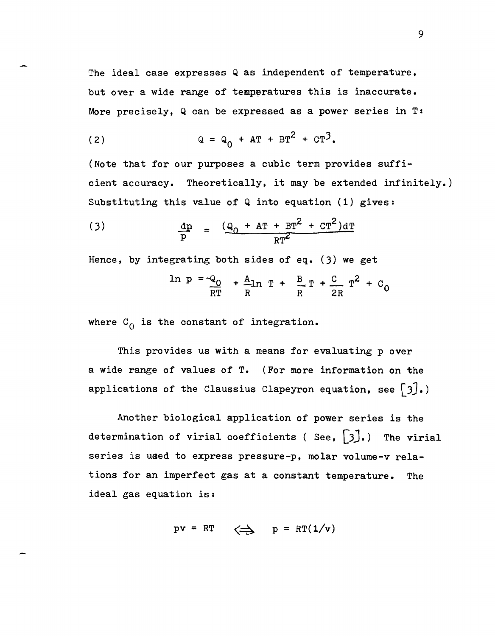The ideal case expresses Q as independent of temperature, but over a wide range of temperatures this is inaccurate. More precisely, Q can be expressed as a power series in T:

(2) 
$$
Q = Q_0 + AT + BT^2 + CT^3
$$
.

(Note that for our purposes a cubic term provides sufficient accuracy. Theoretically, it may be extended infinitely.) Substituting this value of  $Q$  into equation (1) gives:

(3) 
$$
\frac{dp}{p} = \frac{(q_0 + AT + BT^2 + CT^2)dT}{RT^2}
$$

Hence, by integrating both sides of eq.  $(3)$  we get

$$
\ln p = -Q_0 + \frac{A}{R} \ln T + \frac{B}{R} T + \frac{C}{2R} T^2 + C_0
$$

where  $C_0$  is the constant of integration.

This provides us with a means for evaluating p over a wide range of values of T. (For more information on the applications of the Claussius Clapeyron equation, see  $\lceil 3 \rceil$ .)

Another biological application of power series is the determination of virial coefficients ( See,  $\begin{bmatrix} 3 \end{bmatrix}$ .) The virial series is used to express pressure-p, molar volume-v relations for an imperfect gas at a constant temperature. The ideal gas equation is:

$$
pv = RT \iff p = RT(1/v)
$$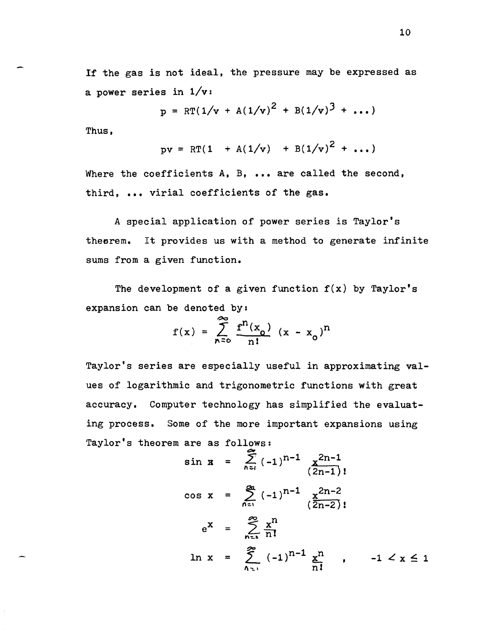If the gas is not ideal, the pressure may be expressed as a power series in  $1/v$ :

$$
p = RT(1/v + A(1/v)^{2} + B(1/v)^{3} + ...)
$$

Thus,

$$
pv = RT(1 + A(1/v) + B(1/v)^{2} + ...)
$$

Where the coefficients A, B, ... are called the second, third, ••• virial coefficients of the gas.

A special application of power series is Taylor's theorem. It provides us with a method to generate infinite sums from a given function.

The development of a given function  $f(x)$  by Taylor's expansion can be denoted by:

$$
f(x) = \sum_{n=0}^{\infty} \frac{f^{n}(x_0)}{n!} (x - x_0)^{n}
$$

Taylor's series are especially useful in approximating values of logarithmic and trigonometric functions with great accuracy. Computer technology has simplified the evaluating process. Some of the more important expansions using Taylor's theorem are as follows:

$$
\sin x = \sum_{n=1}^{\infty} (-1)^{n-1} \frac{x^{2n-1}}{(2n-1)!}
$$
\n
$$
\cos x = \sum_{n=1}^{\infty} (-1)^{n-1} \frac{x^{2n-2}}{(2n-2)!}
$$
\n
$$
e^{x} = \sum_{n=1}^{\infty} \frac{x^{n}}{n!}
$$
\n
$$
\ln x = \sum_{n=1}^{\infty} (-1)^{n-1} \frac{x^{n}}{n!}, \quad -1 < x \le 1
$$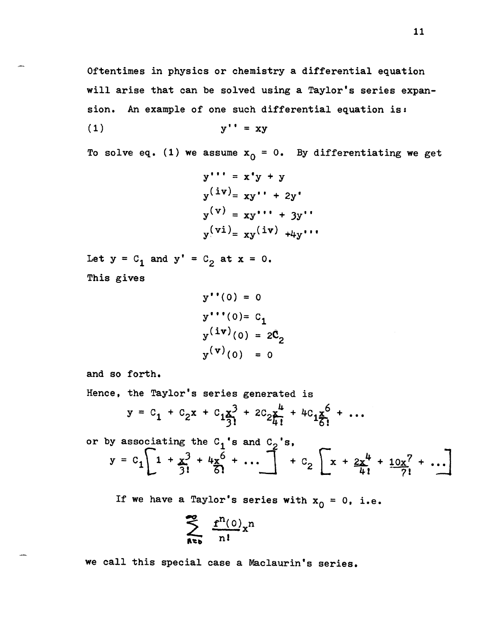Oftentimes in physics or chemistry a differential equation will arise that can be solved using a Taylor's series expansion. An example of one such differential equation is:

$$
y'' = xy
$$

To solve eq. (1) we assume  $x_0 = 0$ . By differentiating we get

$$
y''' = x'y + y
$$
  
\n
$$
y^{(iv)} = xy'' + 2y'
$$
  
\n
$$
y^{(v)} = xy''' + 3y''
$$
  
\n
$$
y^{(vi)} = xy^{(iv)} + 4y'''
$$

Let  $y = C_1$  and  $y' = C_2$  at  $x = 0$ . This gives

```
y''(0) = 0y''''(0) = C_1y^{(iv)}(0) = 2C_2y^{(v)}(0) = 0
```
and so forth.

Hence, the Taylor's series generated is

$$
y = c_1 + c_2 x + c_1 \frac{x^3}{3!} + 2c_2 \frac{x^4}{4!} + 4c_1 \frac{x^6}{6!} + \dots
$$

or by associating the  $C_1$ 's and  $C_2$ 's,  $y = c_1$   $1 + x_1^3 + 4x_0^6$ Elating the C<sub>1</sub>'s and C<sub>2</sub>'s,<br>  $\left[1 + \frac{x^3}{3!} + \frac{4x^6}{6!} + \cdots \right] + C_2 \left[x + \frac{2x^4}{4!} + \frac{10x^7}{7!} + \cdots \right]$ 

If we have a Taylor's series with  $x_0 = 0$ , i.e.

$$
\sum_{n=0}^{\infty} \frac{f^{n}(0)}{n!} x^{n}
$$

we call this special case a Maclaurin's series.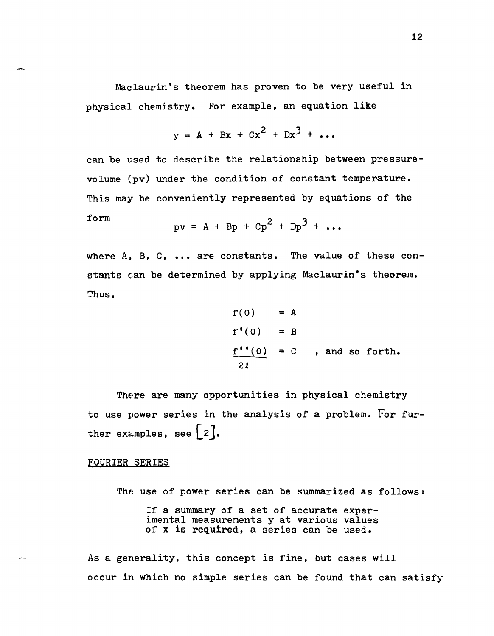Maclaurin's theorem has proven to be very useful in physical chemistry. For example, an equation like

$$
y = A + Bx + Cx2 + Dx3 + ...
$$

can be used to describe the relationship between pressurevolume (pv) under the condition of constant temperature. This may be conveniently represented by equations of the form

$$
pv = A + Bp + Cp2 + Dp3 + ...
$$

where A, B, C, **•••** are constants. The value of these constants can be determined by applying Maclaurin's theorem. Thus,

$$
f(0) = A
$$
  
\n
$$
f'(0) = B
$$
  
\n
$$
\frac{f''(0)}{2I} = C
$$
, and so forth.

There are many opportunities in physical chemistry to use power series in the analysis of a problem. For further examples, see  $[2]$ .

# FOURIER SERIES

The use of power series can be summarized as follows: If a summary of a set of accurate experimental measurements y at various values of x is required, a series can be used.

As a generality, this concept is fine, but cases will occur in which no simple series can be found that can satisfy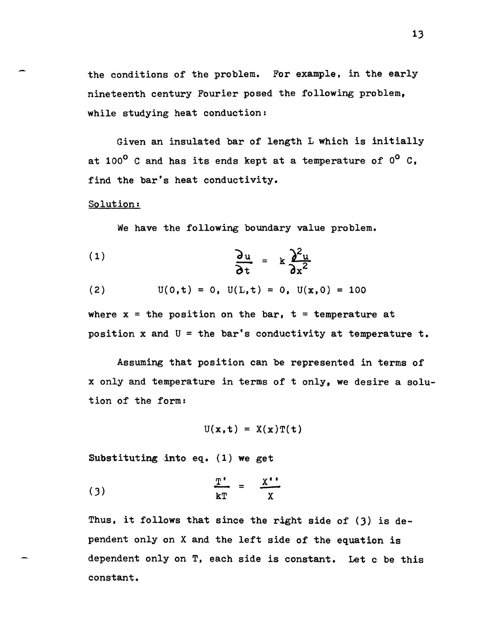the conditions of the problem. For example, in the early nineteenth century Fourier posed the following problem, while studying heat conduction:

Given an insulated bar of length L which is initially at  $100^{\circ}$  C and has its ends kept at a temperature of  $0^{\circ}$  C. find the bar's heat conductivity.

# Solution:

We have the following boundary value problem.

(1) 
$$
\frac{\partial u}{\partial t} = k \frac{\partial^2 u}{\partial x^2}
$$

(2) 
$$
U(0,t) = 0
$$
,  $U(L,t) = 0$ ,  $U(x,0) = 100$ 

where  $x =$  the position on the bar,  $t =$  temperature at position x and  $U =$  the bar's conductivity at temperature t.

Assuming that position can be represented in terms of x only and temperature in terms of t only, we desire a solution of the form:

$$
U(x,t) = X(x)T(t)
$$

Substituting into eq. (1) we get

$$
\frac{T'}{kT} = \frac{X''}{X}
$$

Thus, it follows that since the right side of  $(3)$  is dependent only on X and the left side of the equation is dependent only on T, each side is constant. Let c be this constant.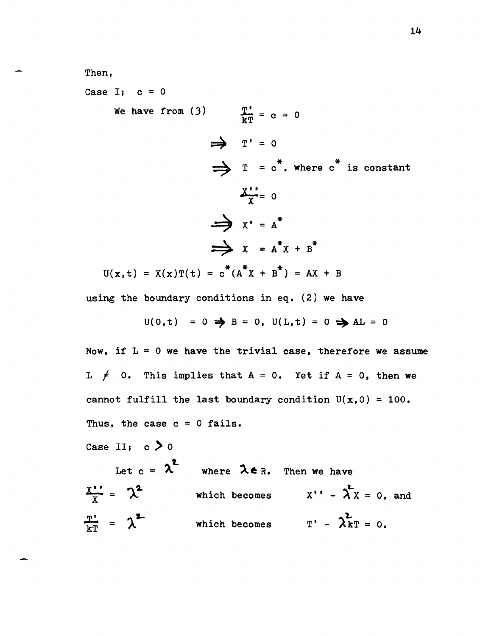Then,

Case I;  $c = 0$ We have from (3)  $\frac{T'}{kT} = c = 0$  $U(x,t) = X(x)T(t) = c^*(A^*x + B^*) = AX + B$  $\Rightarrow$   $T' = 0$  $\Rightarrow$  T = c<sup>\*</sup>, where c<sup>\*</sup> is constant  $\frac{X+1}{Y} = 0$  $\Rightarrow$   $X' = A^*$  $\Rightarrow$   $x = A^*x + B^*$ 

using the boundary conditions in eq. (2) we have

$$
U(0,t) = 0 \Rightarrow B = 0, U(L,t) = 0 \Rightarrow AL = 0
$$

Now, if  $L = 0$  we have the trivial case, therefore we assume L  $\neq$  0. This implies that A = 0. Yet if A = 0, then we cannot fulfill the last boundary condition  $U(x,0) = 100$ . Thus, the case  $c = 0$  fails.

Case II;  $c > 0$ 

Let  $c = \lambda^2$  where  $\lambda \in R$ . Then we have  $\frac{X^{11}}{X}$  =  $\lambda^2$  which becomes  $X'' - \lambda^2 X = 0$ , and  $\frac{\pi^*}{kT}$  =  $\lambda^2$  which becomes  $T' - \lambda^2 kT = 0$ .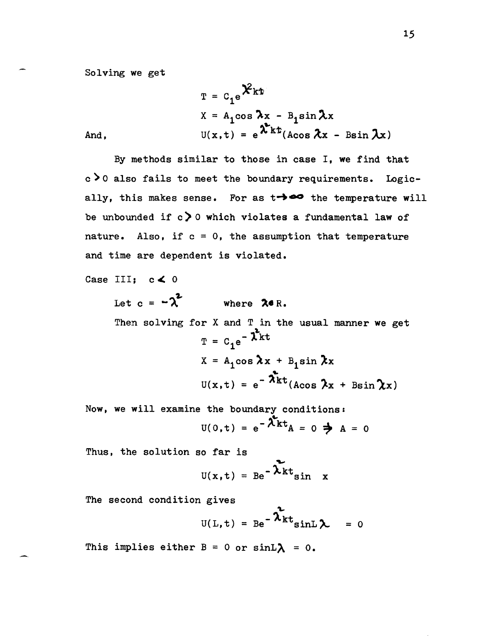Solving we get

$$
T = C_1 e^{\hat{X}kt}
$$
  

$$
X = A_1 \cos \lambda x - B_1 \sin \lambda x
$$
  

$$
U(x, t) = e^{\hat{\lambda}kt} (A \cos \lambda x - B \sin \lambda x)
$$

And,

By methods similar to those in case I, we find that  $c > 0$  also fails to meet the boundary requirements. Logically, this makes sense. For as  $t \rightarrow \infty$  the temperature will be unbounded if  $c > 0$  which violates a fundamental law of nature. Also, if  $c = 0$ , the assumption that temperature and time are dependent is violated.

Case III;  $c \leq 0$ 

Let  $c = -2^2$ where  $26R$ .

Then solving for  $X$  and  $T$  in the usual manner we get  $T = C_1 e^{- \lambda^2 kt}$  $X = A_1 \cos \lambda x + B_1 \sin \lambda x$  $U(x, t) = e^{-\lambda t}$ <br>(Acos  $\lambda x + B \sin \lambda x$ )

Now, we will examine the boundary conditions:<br> $U(0,t) = e^{-\lambda^2 kt}A = 0 \implies A = 0$ 

Thus, the solution so far is

$$
U(x,t) = Be^{-\lambda kt} \sin x
$$

The second condition gives

$$
U(L, t) = Be^{-\lambda_{kt}^{2}}sinL \lambda = 0
$$

This implies either  $B = 0$  or  $sinL\lambda = 0$ .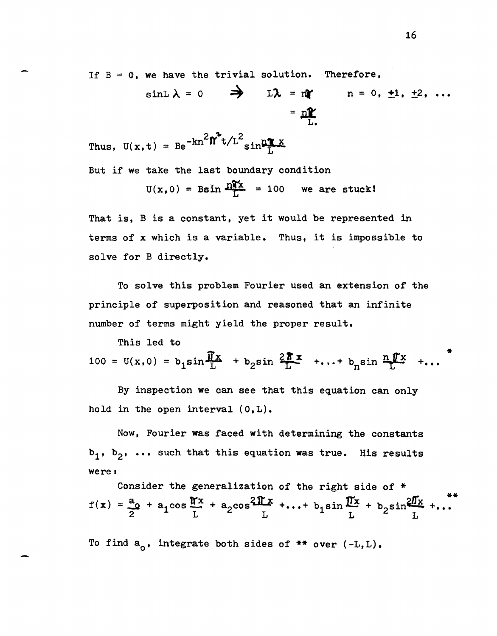If  $B = 0$ , we have the trivial solution. Therefore,

$$
\sin L \lambda = 0 \qquad \Rightarrow \qquad L \lambda = n \qquad n = 0, \pm 1, \pm 2, \ldots
$$

$$
= n \frac{n}{L}.
$$

Thus, 
$$
U(x, t) = Be^{-kn^2} \hat{\mathbf{n}}^t t/L^2 \sin \frac{n \pi x}{L}
$$

But if we take the last boundary condition

$$
U(x, 0) = \text{Bsin} \frac{n\mathbf{x}}{L} = 100
$$
 we are stuck!

That is, B is a constant, yet it would be represented in terms of x which is a variable. Thus, it is impossible to solve for B directly.

To solve this problem Fourier used an extension of the principle of superposition and reasoned that an infinite number of terms might yield the proper result.

This led to

-

100 =  $U(x,0) = b_1 \sin \frac{\pi x}{L} + b_2 \sin \frac{2\pi x}{L} + ... + b_n \sin \frac{n\pi x}{L} + ...$ 

By inspection we can see that this equation can only hold *in* the open interval (O,L).

Now, Fourier was faced with determining the constants b<sub>1</sub>, b<sub>2</sub>, ... such that this equation was true. His results were:

Consider the generalization of the right side of  $*$  $f(x) = \frac{a_0}{2} + a_1 \cos \frac{\pi x}{L} + a_2 \cos \frac{2 \pi x}{L} + ... + b_1 \sin \frac{\pi x}{L} + b_2 \sin \frac{2 \pi x}{L} + ...$ 

To find  $a_0$ , integrate both sides of \*\* over  $(-L,L)$ .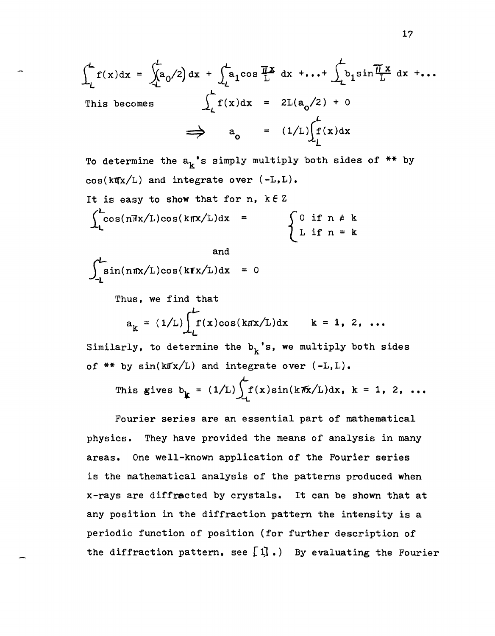$$
\int_{L}^{L} f(x) dx = \int_{L}^{L} a_0/2 dx + \int_{L}^{L} a_1 \cos \frac{\pi x}{L} dx + \dots + \int_{L} b_1 \sin \frac{\pi x}{L} dx + \dots
$$
  
This becomes 
$$
\int_{L} f(x) dx = 2L(a_0/2) + 0
$$

$$
\implies a_0 = (1/L) \int_{L}^{L} f(x) dx
$$

To determine the  $a_k$ 's simply multiply both sides of \*\* by  $cos(k\pi x/L)$  and integrate over  $(-L,L)$ . It is easy to show that for  $n$ ,  $k \in \mathbb{Z}$  $\int_{1}^{L} \cos(n\pi x/L)\cos(k\pi x/L)dx =$ and if  $n \neq k$ if  $n = k$ 

$$
\int_{-L}^{L} \sin(n\pi x/L)\cos(k\pi x/L)dx = 0
$$

Thus, we find that

$$
a_k = (1/L) \int_L^L f(x) \cos(k\pi x/L) dx \qquad k = 1, 2, ...
$$

Similarly, to determine the  $b_k$ 's, we multiply both sides of  $**$  by  $sin(k\pi x/L)$  and integrate over  $(-L,L)$ .

This gives 
$$
b_k = (1/L) \int_L f(x) \sin(k\pi x/L) dx
$$
,  $k = 1, 2, ...$ 

Fourier series are an essential part of mathematical physics. They have provided the means of analysis in many areas. One well-known application of the Fourier series is the mathematical analysis of the patterns produced when x-rays are diffracted by crystals. It can be shown that at any position in the diffraction pattern the intensity is a periodic function of position (for further description of the diffraction pattern, see  $[1]$ .) By evaluating the Fourier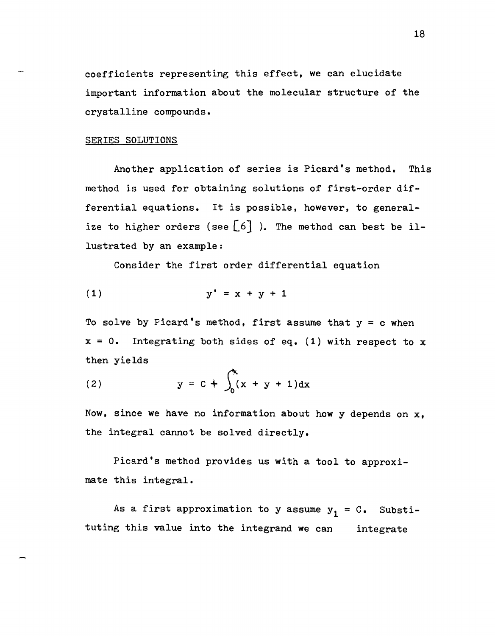coefficients representing this effect, we can elucidate important information about the molecular structure of the crystalline compounds.

#### SERIES SOLUTIONS

Another application of series is Picard's method. This method is used for obtaining solutions of first-order differential equations. It is possible, however, to generalize to higher orders (see  $[6]$  ). The method can best be illustrated by an example:

Consider the first order differential equation

$$
y' = x + y + 1
$$

To solve by Picard's method, first assume that  $y = c$  when  $x = 0$ . Integrating both sides of eq. (1) with respect to x then yields

(2) 
$$
y = C + \int_0^x (x + y + 1) dx
$$

Now, since we have no information about how y depends on  $x$ , the integral cannot be solved directly.

Picard's method provides us with a tool to approximate this integral.

As a first approximation to y assume  $y_1 = C$ . Substituting this value into the integrand we can integrate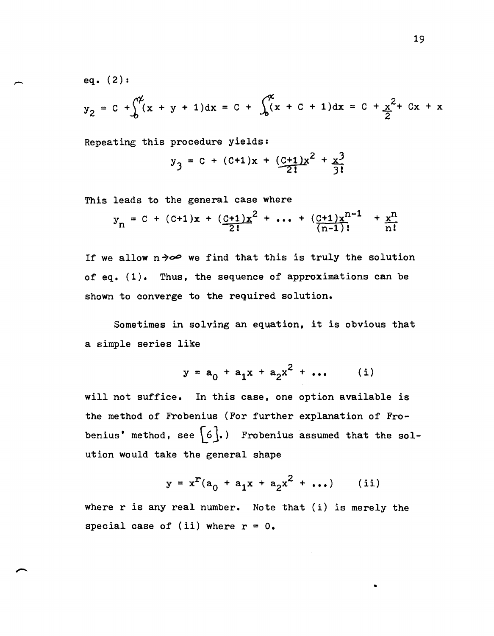eq. (2):

$$
y_2 = C + \int_0^{\pi} (x + y + 1) dx = C + \int_0^{\pi} (x + C + 1) dx = C + \frac{x^2}{2} + Cx + x
$$

Repeating this procedure yields:

$$
y_3 = C + (C+1)x + \frac{(C+1)x^2}{2!} + \frac{x^3}{3!}
$$

This leads to the general case where

$$
y_n = C + (C+1)x + \left(\frac{C+1}{2!}x^2 + \dots + \left(\frac{C+1}{n-1}\right)x^{n-1} + \frac{x^n}{n!}
$$

If we allow  $n \rightarrow \infty$  we find that this is truly the solution of eq. (1). Thus, the sequence of approximations can be shown to converge to the required solution.

Sometimes in solving an equation, it is obvious that a simple series like

$$
y = a_0 + a_1 x + a_2 x^2 + \dots \qquad (i)
$$

will not suffice. In this case, one option available is the method of Frobenius (For further explanation of Frobenius' method, see  $\begin{bmatrix} 6 \end{bmatrix}$ .) Frobenius assumed that the solution would take the general shape

$$
y = x^{r}(a_0 + a_1x + a_2x^{2} + ...)
$$
 (ii)

•

where r is any real number. Note that (i) is merely the special case of (ii) where  $r = 0$ .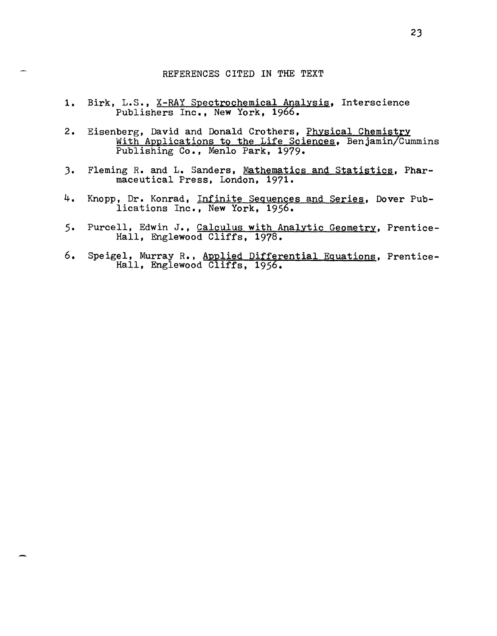#### REFERENCES CITED IN THE TEXT

- 1. Birk, L.S., X-RAY Spectrochemical Analysis, Interscience Publishers Inc., New York, 1966.
- 2. Eisenberg, David and Donald Crothers, <u>Physical Chemistry</u><br>With Applications to the Life Sciences, Benjamin/Cummins<br>Publishing Co., Menlo Park, 1979.
- 3. Fleming R. and L. Sanders, Mathematics and Statistics, Pharmaceutical Press, London, 1971.
- 4. Knopp, Dr. Konrad, Infinite Sequences and Series, Dover Publications Inc., New York, 1956.
- Purcell, Edwin J., Calculus with Analytic Geometry, Prentice- $5.$ Hall, Englewood Cliffs, 1978.
- 6. Speigel, Murray R., Applied Differential Equations, Prentice-Hall, Englewood Cliffs, 1956.